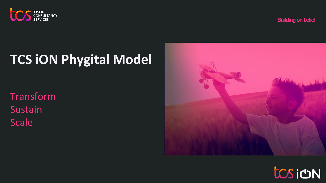

**Building on belief**

# **TCS iON Phygital Model**

Transform Sustain Scale



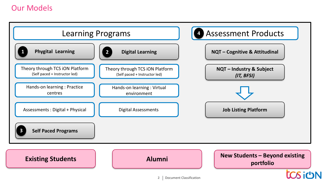# Our Models



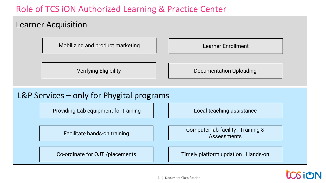# Role of TCS iON Authorized Learning & Practice Center

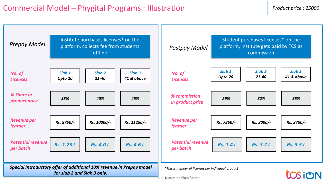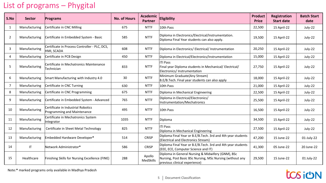# List of programs – Phygital

| S.No           | <b>Sector</b> | Programs                                                          | <b>No. of Hours</b> | <b>Academic</b><br><b>Partner</b> | <b>Product</b><br>Eligibility                                                                                                                   |        | <b>Registration</b><br><b>Start date</b> | <b>Batch Start</b><br>date |
|----------------|---------------|-------------------------------------------------------------------|---------------------|-----------------------------------|-------------------------------------------------------------------------------------------------------------------------------------------------|--------|------------------------------------------|----------------------------|
| 1              | Manufacturing | Certificate in CNC Milling                                        | 675                 | <b>NTTF</b>                       | 10th Pass                                                                                                                                       | 22,500 | 15 April-22                              | July-22                    |
| 2              | Manufacturing | Certificate in Embedded System - Basic                            | 585                 | <b>NTTF</b>                       | Diploma in Electronics/Electrical/Instrumentation.<br>Diploma Final Year students can also apply.                                               | 19,500 | 15 April-22                              | July-22                    |
| 3              | Manufacturing | Certificate in Process Controller - PLC, DCS,<br>HMI, SCADA       | 608                 | <b>NTTF</b>                       | Diploma in Electronics/ Electrical/ Instrumentation                                                                                             | 20,250 | 15 April-22                              | July-22                    |
| 4              | Manufacturing | Certificate in PCB Design                                         | 450                 | <b>NTTF</b>                       | Diploma in Electrical/Electronics/Instrumentation                                                                                               | 15,000 | 15 April-22                              | July-22                    |
| 5              | Manufacturing | Certificate in Mechatronics Maintenance<br>Technician             | 833                 | <b>NTTF</b>                       | ITI Pass<br>Final year Diploma students in Mechanical/ Electrical/<br>Electronics/Instrumentation                                               |        | 15 April-22                              | July-22                    |
| 6              | Manufacturing | Smart Manufacturing with Industry 4.0                             | 30                  | <b>NTTF</b>                       | Minimum Graduate(Any Stream)<br>B.E/B.Tech. Final year students can also apply                                                                  | 18,000 | 15 April-22                              | July-22                    |
| $\overline{7}$ | Manufacturing | Certificate in CNC Turning                                        | 630                 | <b>NTTF</b>                       | 10th Pass                                                                                                                                       | 21,000 | 15 April-22                              | July-22                    |
| 8              | Manufacturing | Certificate in CNC Programming                                    | 675                 | <b>NTTF</b>                       | Diploma in Mechanical Engineering                                                                                                               | 22,500 | 15 April-22                              | July-22                    |
| 9              | Manufacturing | Certificate in Embedded System - Advanced                         | 765                 | <b>NTTF</b>                       | Diploma in Electrical/Electronics/<br>Instrumentation/Mechatronics                                                                              | 25,500 | 15 April-22                              | July-22                    |
| 10             | Manufacturing | Certificate in Industrial Robotics<br>Programming and Maintenance | 495                 | <b>NTTF</b>                       | 10th Pass                                                                                                                                       | 16,500 | 15 April-22                              | July-22                    |
| 11             | Manufacturing | Certificate in Mechatronics System<br>Integrator                  | 1035                | <b>NTTF</b>                       | Diploma                                                                                                                                         | 34,500 | 15 April-22                              | July-22                    |
| 12             | Manufacturing | Certificate in Sheet Metal Technology                             | 825                 | <b>NTTF</b>                       | ITI Pass<br>Diploma in Mechanical Engineering                                                                                                   | 27,500 | 15 April-22                              | July-22                    |
| 13             | Manufacturing | Embedded Hardware Developer*                                      | 514                 | <b>CRISP</b>                      | Diploma Final Year or B.E/B.Tech. 3rd and 4th year students<br>(Electrical and Electronics Stream)                                              | 47,200 | 15 June-22                               | $01$ -July-22              |
| 14             | IT.           | Network Administrator*                                            | 586                 | <b>CRISP</b>                      | Diploma Final Year or B.E/B.Tech. 3rd and 4th year students<br>(EEE, ECE, Computer Science and IT)                                              | 41,300 | 05 June-22                               | 20 June-22                 |
| 15             | Healthcare    | Finishing Skills for Nursing Excellence (FINE)                    | 288                 | Apollo<br>MedSkills               | Diploma in General Nursing & Midwifery (GNM), BSc<br>Nursing, Post Basic BSc Nursing, MSc Nursing (without any<br>previous clinical experience) | 29,500 | 15 June-22                               | 01 July-22                 |

Note:**\*** marked programs only available in Madhya Pradesh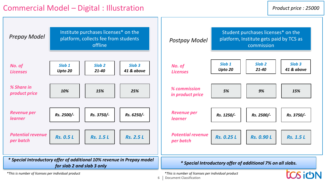

**6** Document Classification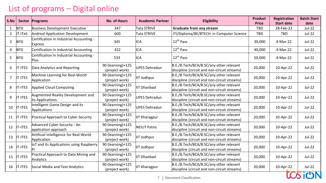# List of programs – Digital online

| S.No                                             |                | Sector Programs                                            | <b>No. of Hours</b>                 | <b>Academic Partner</b> | <b>Eligibility</b>                                                                      | Product      | Registration      | <b>Batch Start</b> |
|--------------------------------------------------|----------------|------------------------------------------------------------|-------------------------------------|-------------------------|-----------------------------------------------------------------------------------------|--------------|-------------------|--------------------|
|                                                  |                |                                                            |                                     |                         |                                                                                         | <b>Price</b> | <b>Start date</b> | date               |
| $\mathbf{1}$                                     | <b>BFSI</b>    | <b>Business Development Executive</b>                      | 347                                 | Tata STRIVE             | Graduate from any stream                                                                | <b>TBD</b>   | 28-Feb-22         | Jul-22             |
| $\overline{2}$                                   | IT-ITeS        | Andriod Application Development                            | 600                                 | Tata STRIVE             | ITI/Diploma/BE/BTECH in Computer Science                                                | TBD          | TBD               | <b>Jul-22</b>      |
| 3                                                | <b>BFSI</b>    | Certification in Industrial Accounting -<br><b>Express</b> | 345                                 | ICA                     | 12 <sup>th</sup> Pass                                                                   | 30,000       | 4-Mar-22          | Jul-22             |
| 4                                                | <b>BFSI</b>    | Certification in Industrial Accounting                     | 432                                 | <b>ICA</b>              | 12 <sup>th</sup> Pass                                                                   | 40,000       | 4-Mar-22          | Jul-22             |
| 5                                                | <b>BFSI</b>    | Certification in Industrial Accounting -<br><b>Plus</b>    | 533                                 | ICA                     | 12 <sup>th</sup> Pass                                                                   | 50,000       | 4-Mar-22          | Jul-22             |
| 6                                                | <b>IT-ITES</b> | Data Analytics and Reporting                               | 90 (learning)+125<br>(project work) | <b>UPES Dehradun</b>    | B.E./B.Tech/BCA/B.SC/any other relevant<br>discipline (circuit and non-circuit streams) | 20,000       | 10-Apr-22         | Jul-22             |
| $\overline{7}$                                   | IT-ITES        | Machine Learning for Real-World<br>Application             | 90 (learning)+125<br>(project work) | IIT Jodhpur             | B.E./B.Tech/BCA/B.SC/any other relevant<br>discipline (circuit and non-circuit streams) | 20,000       | 10-Apr-22         | Jul-22             |
| 8                                                | IT-ITES        | Applied Cloud Computing                                    | 90 (learning)+125<br>(project work) | <b>IIT Dhanbad</b>      | B.E./B.Tech/BCA/B.SC/any other relevant<br>discipline (circuit and non-circuit streams) | 20,000       | 10-Apr-22         | Jul-22             |
| 9                                                | <b>IT-ITES</b> | Augmented Reality Development and<br>its Applications      | 90 (learning)+125<br>(project work) | <b>UPES Dehradun</b>    | B.E./B.Tech/BCA/B.SC/any other relevant<br>discipline (circuit and non-circuit streams) | 20,000       | 10-Apr-22         | Jul-22             |
| 10                                               | <b>IT-ITES</b> | Intelligent Game Design and its<br>Applications            | 90 (learning)+125<br>(project work) | <b>UPES Dehradun</b>    | B.E./B.Tech/BCA/B.SC/any other relevant<br>discipline (circuit and non-circuit streams) | 20,000       | 10-Apr-22         | Jul-22             |
| 11                                               | <b>IT-ITES</b> | Practical Approach to Cyber Security                       | 90 (learning)+125<br>(project work) | <b>IIT Kharagpur</b>    | B.E./B.Tech/BCA/B.SC/any other relevant<br>discipline (circuit and non-circuit streams) | 20,000       | 10-Apr-22         | Jul-22             |
| 12                                               | <b>IT-ITES</b> | Advanced Cyber Security - An<br>application approach       | 90 (learning)+125<br>(project work) | <b>NEILIT Patna</b>     | B.E./B.Tech/BCA/B.SC/any other relevant<br>discipline (circuit and non-circuit streams) | 20,000       | 10-Apr-22         | <b>Jul-22</b>      |
| 13                                               | <b>IT-ITES</b> | Artificial Intelligence for Real-World<br>Application      | 90 (learning)+125<br>(project work) | IIT Jodhpur             | B.E./B.Tech/BCA/B.SC/any other relevant<br>discipline (circuit and non-circuit streams) | 20,000       | 10-Apr-22         | $Jul-22$           |
| 14                                               | <b>IT-ITES</b> | IoT and its Applications using Raspberry                   | 90 (learning)+125<br>(project work) | IIT Jodhpur             | B.E./B.Tech/BCA/B.SC/any other relevant<br>discipline (circuit and non-circuit streams) | 20,000       | 10-Apr-22         | Jul-22             |
| 15                                               | IT-ITES        | Practical Approach to Data Mining and<br>Analytics         | 90 (learning)+125<br>(project work) | <b>IIT Dhanbad</b>      | B.E./B.Tech/BCA/B.SC/any other relevant<br>discipline (circuit and non-circuit streams) | 20,000       | 10-Apr-22         | Jul-22             |
| 16                                               | <b>IT-ITES</b> | Social Media and Text Analytics                            | 90 (learning)+125<br>(project work) | IIT Kharagpur           | B.E./B.Tech/BCA/B.SC/any other relevant<br>discipline (circuit and non-circuit streams) | 20,000       | 10-Apr-22         | Jul-22             |
| <b>Document Classification</b><br>$\overline{7}$ |                |                                                            |                                     |                         |                                                                                         |              |                   |                    |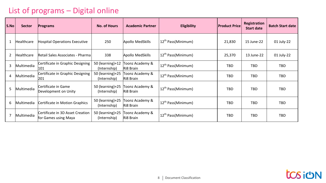# List of programs – Digital online

| S.No           | <b>Sector</b> | <b>Programs</b>                                          | <b>No. of Hours</b>                | <b>Academic Partner</b>      | <b>Eligibility</b>             | <b>Product Price</b> | Registration<br><b>Start date</b> | <b>Batch Start date</b> |
|----------------|---------------|----------------------------------------------------------|------------------------------------|------------------------------|--------------------------------|----------------------|-----------------------------------|-------------------------|
|                | Healthcare    | <b>Hospital Operations Executive</b>                     | 250                                | Apollo MedSkills             | 12 <sup>th</sup> Pass(Minimum) | 21,830               | 15 June-22                        | 01 July-22              |
| $\overline{2}$ | Healthcare    | Retail Sales Associates - Pharma                         | 338                                | Apollo MedSkills             | 12 <sup>th</sup> Pass(Minimum) | 25,370               | 13 June-22                        | 01 July-22              |
| 3              | Multimedia    | Certificate in Graphic Designing<br>101                  | $50$ (learning)+12<br>(Internship) | Toonz Academy &<br>Ri8 Brain | 12 <sup>th</sup> Pass(Minimum) | <b>TBD</b>           | TBD                               | TBD                     |
| 4              | Multimedia    | Certificate in Graphic Designing<br>201                  | $50$ (learning)+25<br>(Internship) | Toonz Academy &<br>Ri8 Brain | 12 <sup>th</sup> Pass(Minimum) | <b>TBD</b>           | TBD                               | TBD                     |
| 5              | Multimedia    | Certificate in Game<br>Development on Unity              | 50 (learning)+25<br>(Internship)   | Toonz Academy &<br>Ri8 Brain | 12 <sup>th</sup> Pass(Minimum) | <b>TBD</b>           | TBD                               | <b>TBD</b>              |
| 6              | Multimedia    | Certificate in Motion Graphics                           | $50$ (learning)+25<br>(Internship) | Toonz Academy &<br>Ri8 Brain | 12 <sup>th</sup> Pass(Minimum) | <b>TBD</b>           | TBD                               | <b>TBD</b>              |
|                | Multimedia    | Certificate in 3D Asset Creation<br>for Games using Maya | $50$ (learning)+25<br>(Internship) | Toonz Academy &<br>Ri8 Brain | 12 <sup>th</sup> Pass(Minimum) | <b>TBD</b>           | TBD                               | <b>TBD</b>              |

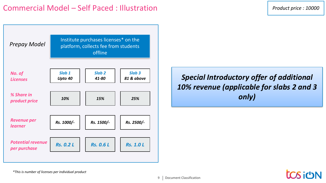

*Special Introductory offer of additional 10% revenue (applicable for slabs 2 and 3 only)*

*\*This is number of licenses per individual product*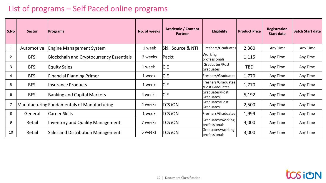# List of programs – Self Paced online programs

| S.No | <b>Sector</b> | Programs                                        | No. of weeks | <b>Academic / Content</b><br><b>Partner</b> | Eligibility                            | <b>Product Price</b> | Registration<br><b>Start date</b> | <b>Batch Start date</b> |
|------|---------------|-------------------------------------------------|--------------|---------------------------------------------|----------------------------------------|----------------------|-----------------------------------|-------------------------|
|      | Automotive    | <b>Engine Management System</b>                 | 1 week       | Skill Source & NTI                          | Freshers/Graduates                     | 2,360                | Any Time                          | Any Time                |
| 2    | <b>BFSI</b>   | <b>Blockchain and Cryptocurrency Essentials</b> | 2 weeks      | Packt                                       | Working<br><b>professionals</b>        | 1,115                | Any Time                          | Any Time                |
| 3    | <b>BFSI</b>   | <b>Equity Sales</b>                             | 1 week       | <b>CIE</b>                                  | Graduates/Post<br>Graduates            | TBD                  | Any Time                          | Any Time                |
| 4    | <b>BFSI</b>   | Financial Planning Primer                       | 1 week       | <b>CIE</b>                                  | Freshers/Graduates                     | 1,770                | Any Time                          | Any Time                |
| 5    | <b>BFSI</b>   | Insurance Products                              | 1 week       | <b>CIE</b>                                  | Freshers/Graduates<br>l/Post Graduates | 1,770                | Any Time                          | Any Time                |
| 6    | <b>BFSI</b>   | <b>Banking and Capital Markets</b>              | 4 weeks      | <b>CIE</b>                                  | Graduates/Post<br><b>Graduates</b>     | 5,192                | Any Time                          | Any Time                |
|      |               | Manufacturing Fundamentals of Manufacturing     | 4 weeks      | TCS ION                                     | Graduates/Post<br>Graduates            | 2,500                | Any Time                          | Any Time                |
| 8    | General       | Career Skills                                   | 1 week       | <b>TCS ION</b>                              | Freshers/Graduates                     | 1,999                | Any Time                          | Any Time                |
| 9    | Retail        | Inventory and Quality Management                | 7 weeks      | TCS ION                                     | Graduates/working<br>professionals     | 4,000                | Any Time                          | Any Time                |
| 10   | Retail        | Sales and Distribution Management               | 5 weeks      | <b>TCS ION</b>                              | Graduates/working<br>professionals     | 3,000                | Any Time                          | Any Time                |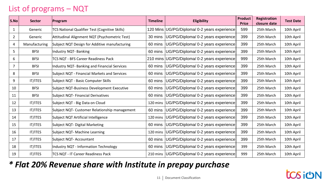# List of programs – NQT

| S.No           | <b>Sector</b>  | Program                                        | <b>Timeline</b> | <b>Eligibility</b>                             | <b>Product</b><br><b>Price</b> | Registration<br>closure date | <b>Test Date</b> |
|----------------|----------------|------------------------------------------------|-----------------|------------------------------------------------|--------------------------------|------------------------------|------------------|
| 1              | Generic        | TCS National Qualifier Test (Cognitive Skills) |                 | 120 Mins UG/PG/Diploma/ 0-2 years experience   | 599                            | 25th March                   | 10th April       |
| $\overline{2}$ | Generic        | Attitudinal Alignment NQT (Psychometric Test)  | 30 mins         | UG/PG/Diploma/ 0-2 years experience            | 399                            | 25th March                   | 10th April       |
| 4              | Manufacturing  | Subject NQT Design for Additive manufacturing  | 60 mins         | UG/PG/Diploma/ 0-2 years experience            | 399                            | 25th March                   | 10th April       |
| 5              | <b>BFSI</b>    | Industry NQT- Banking                          | 60 mins         | UG/PG/Diploma/ 0-2 years experience            | 399                            | 25th March                   | 10th April       |
| 6              | <b>BFSI</b>    | TCS NQT - BFS Career Readiness Pack            | 210 mins        | UG/PG/Diploma/ 0-2 years experience            | 999                            | 25th March                   | 10th April       |
| 7              | <b>BFSI</b>    | Industry NQT- Banking and Financial Services   | 60 mins         | UG/PG/Diploma/ 0-2 years experience            | 399                            | 25th March                   | 10th April       |
| 8              | <b>BFSI</b>    | Subject NQT - Financial Markets and Services   | 60 mins         | UG/PG/Diploma/ 0-2 years experience            | 399                            | 25th March                   | 10th April       |
| 9              | <b>IT/ITES</b> | Subject NQT - Basic Computer Skills            | 60 mins         | UG/PG/Diploma/ 0-2 years experience            | 399                            | 25th March                   | 10th April       |
| 10             | <b>BFSI</b>    | Subject NQT-Business Development Executive     | 60 mins         | UG/PG/Diploma/ 0-2 years experience            | 399                            | 25th March                   | 10th April       |
| 11             | <b>BFSI</b>    | Subject NQT- Financial Derivatives             | 60 mins         | UG/PG/Diploma/ 0-2 years experience            | 399                            | 25th March                   | 10th April       |
| 12             | IT/ITES        | Subject NQT - Big Data on Cloud                | 120 mins        | UG/PG/Diploma/ 0-2 years experience            | 399                            | 25th March                   | 10th April       |
| 13             | IT/ITES        | Subject NQT- Customer Relationship management  | 60 mins         | UG/PG/Diploma/ 0-2 years experience            | 399                            | 25th March                   | 10th April       |
| 14             | IT/ITES        | Subject NQT Artificial Intelligence            | 120 mins        | UG/PG/Diploma/ 0-2 years experience            | 399                            | 25th March                   | 10th April       |
| 15             | IT/ITES        | Subject NQT- Digital Marketing                 | 60 mins         | UG/PG/Diploma/ 0-2 years experience            | 399                            | 25th March                   | 10th April       |
| 16             | <b>IT/ITES</b> | Subject NQT- Machine Learning                  | 120 mins        | UG/PG/Diploma/ 0-2 years experience            | 399                            | 25th March                   | 10th April       |
| 17             | IT/ITES        | Subject NQT- Accountant                        | 60 mins         | UG/PG/Diploma/ 0-2 years experience            | 399                            | 25th March                   | 10th April       |
| 18             | <b>IT/ITES</b> | Industry NQT - Information Technology          | 60 mins         | UG/PG/Diploma/ 0-2 years experience            | 399                            | 25th March                   | 10th April       |
| 19             | IT/ITES        | TCS NQT - IT Career Readiness Pack             |                 | 210 mins   UG/PG/Diploma/ 0-2 years experience | 999                            | 25th March                   | 10th April       |

# *\* Flat 20% Revenue share with Institute in prepay purchase*

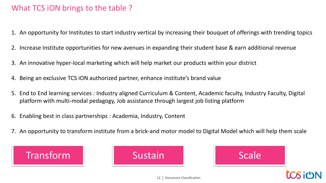# What TCS iON brings to the table ?

- 1. An opportunity for Institutes to start industry vertical by increasing their bouquet of offerings with trending topics
- 2. Increase Institute opportunities for new avenues in expanding their student base & earn additional revenue
- 3. An innovative hyper-local marketing which will help market our products within your district
- 4. Being an exclusive TCS iON authorized partner, enhance institute's brand value
- 5. End to End learning services : Industry aligned Curriculum & Content, Academic faculty, Industry Faculty, Digital platform with multi-modal pedagogy, Job assistance through largest job listing platform
- 6. Enabling best in class partnerships : Academia, Industry, Content
- 7. An opportunity to transform institute from a brick-and motor model to Digital Model which will help them scale





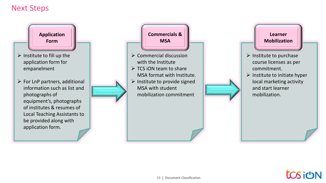## Next Steps

**Application Form**

- $\triangleright$  Institute to fill up the application form for empanelment
- $\triangleright$  For LnP partners, additional information such as list and photographs of equipment's, photographs of institutes & resumes of Local Teaching Assistants to be provided along with application form.



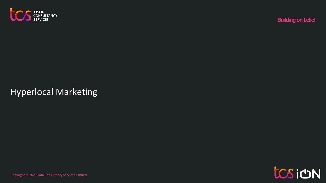

# Example Copyright Consultancy Services<br>HyperIocal Marketing<br>Example & 2021 Tata Consultancy Services Limited Services Limited Services Limited Services Limited Services Hyperlocal Marketing

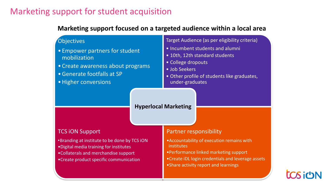# Marketing support for student acquisition

## **Marketing support focused on a targeted audience within a local area**



**15** Document Classification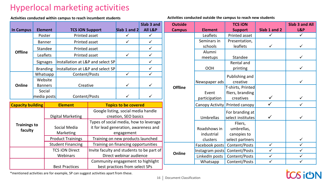# Hyperlocal marketing activities

**Activities conducted within campus to reach incumbent students Activities conducted outside the campus to reach new students** 

|                                    |  |                                |                                   |                                                                                 |                                                             | Slab 3 and |  |
|------------------------------------|--|--------------------------------|-----------------------------------|---------------------------------------------------------------------------------|-------------------------------------------------------------|------------|--|
| <b>Element</b><br><b>In Campus</b> |  | <b>TCS ION Support</b>         |                                   | Slab 1 and 2                                                                    | All L&P                                                     |            |  |
|                                    |  | <b>Printed asset</b><br>Poster |                                   |                                                                                 |                                                             | ✓          |  |
|                                    |  | <b>Banner</b>                  | Printed asset                     |                                                                                 | ✓                                                           | ✓          |  |
|                                    |  | Standee                        | Printed asset                     |                                                                                 |                                                             | ✓          |  |
| <b>Offline</b>                     |  | Leaflets                       | Printed asset                     |                                                                                 | ✓                                                           | ✓          |  |
|                                    |  | <b>Signages</b>                | Installation at L&P and select SP |                                                                                 |                                                             | ✓          |  |
|                                    |  | <b>Branding</b>                | Installation at L&P and select SP |                                                                                 |                                                             | ✓          |  |
|                                    |  | Whatsapp                       | Content/Posts                     |                                                                                 | $\checkmark$                                                | ✓          |  |
|                                    |  | Website                        |                                   |                                                                                 | ✓                                                           | ✓          |  |
| Online                             |  | <b>Banners</b>                 | Creative                          |                                                                                 |                                                             |            |  |
|                                    |  | Social<br>media posts          | Content/Posts                     |                                                                                 |                                                             | ✓          |  |
| <b>Capacity building</b>           |  |                                | <b>Element</b>                    |                                                                                 | <b>Topics to be covered</b>                                 |            |  |
|                                    |  |                                | <b>Digital Marketing</b>          |                                                                                 | Google listing, social media handle<br>creation, SEO basics |            |  |
| <b>Trainings to</b>                |  | Social Media                   |                                   | Types of social media, how to leverage<br>it for lead generation, awareness and |                                                             |            |  |
| faculty                            |  |                                | Marketing                         |                                                                                 | engagement                                                  |            |  |
|                                    |  |                                | <b>Product Trainings</b>          |                                                                                 | Training on new products launched                           |            |  |
|                                    |  |                                | <b>Student Financing</b>          |                                                                                 | Training on financing opportunities                         |            |  |
|                                    |  |                                | <b>TCS ION Direct</b>             | Invite faculty and students to be part of                                       |                                                             |            |  |

Direct webinar audience

Community engagement to highlight best practices from select SPs

| <b>Outside</b> |                 | <b>TCS ION</b>                       |              | Slab 3 and All |
|----------------|-----------------|--------------------------------------|--------------|----------------|
| <b>Campus</b>  | <b>Element</b>  | <b>Support</b>                       | Slab 1 and 2 | L&P            |
|                | Leaflets        | <b>Printed asset</b>                 | ✓            | ✓              |
|                | Seminars in     | Presentation,                        |              |                |
|                | schools         | leaflets                             | ✓            | ✓              |
|                | Alumni          |                                      |              |                |
|                | meetups         | Standee                              |              | ✓              |
|                | OOH             | Rental and<br>printing               |              | ✓              |
|                | Newspaper ads   | Publishing and<br>creative           |              | ✓              |
| <b>Offline</b> |                 | T-shirts, Printed                    |              |                |
|                | Event           | fliers, branding                     |              |                |
|                | participation   | creatives                            |              |                |
|                | Canopy Activity | Printed canopy                       |              |                |
|                | Umbrellas       | For branding at<br>select institutes |              | ✓              |
|                |                 | Fliers,                              |              |                |
|                | Roadshows in    | umbrellas,                           |              |                |
|                | industrial      | canopies to                          |              |                |
|                | clusters        | select partners                      |              | ✓              |
|                | Facebook posts  | Content/Posts                        | ✓            | ✓              |
| Online         | Instagram posts | Content/Posts                        | ✓            | ✓              |
|                | LinkedIn posts  | Content/Posts                        | ✓            | ✓              |
|                | Whatsapp        | Content/Posts                        | ✓            | ✓              |

\*mentioned activities are for example, SP can suggest activities apart from these.

Webinars

Best Practices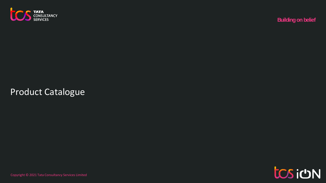

# Product Catalogue<br>Product Catalogue<br>Express discussions consultancy Services Limited by Services Limited Building on belief<br>Limited by Services Limited Services Limited Building on belief Product Catalogue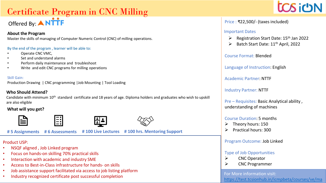# Certificate Program in CNC Milling Offered By: ANTTF

## **About the Program**

Master the skills of managing of Computer Numeric Control (CNC) of milling operations.

### By the end of the program , learner will be able to:

- Operate CNC VMC,
- Set and understand alarms
- Perform daily maintenance and troubleshoot
- Write and edit CNC programs for milling operations

## Skill Gain:

Production Drawing | CNC programming |Job Mounting | Tool Loading

## **Who Should Attend?**

Candidate with minimum 10<sup>th</sup> standard certificate and 18 years of age. Diploma holders and graduates who wish to upskill are also eligible

## **What will you get?**





**# 5 Assignments # 6 Assessments # 100 Live Lectures # 100 hrs. Mentoring Support** 

## Product USP:

- NSQF aligned , Job Linked program
- Focus on hands-on skilling 70% practical skills
- Interaction with academic and industry SME
- Access to Best-in-Class infrastructure for hands- on skills

 $\Xi$ :

- Job assistance support facilitated via access to job listing platform
- Industry recognized certificate post successful completion



## Price : ₹22,500/- (taxes included)

## Important Dates

- ➢ Registration Start Date: 15th Jan 2022
- $\triangleright$  Batch Start Date: 11<sup>th</sup> April, 2022

Course Format: Blended

Language of Instruction: English

Academic Partner: NTTF

Industry Partner: NTTF

Pre – Requisites: Basic Analytical ability , understanding of machines

## Course Duration: 5 months

- ➢ Theory hours: 150
- ➢ Practical hours: 300

## Program Outcome: Job Linked

## Type of Job Opportunities

- ➢ CNC Operator
- ➢ CNC Programmer

For More information visit: [https://test.tcsionhub.in/icmpbeta/courses/ve/ma](https://test.tcsionhub.in/icmpbeta/courses/ve/manufacturing/cnc-milling/)